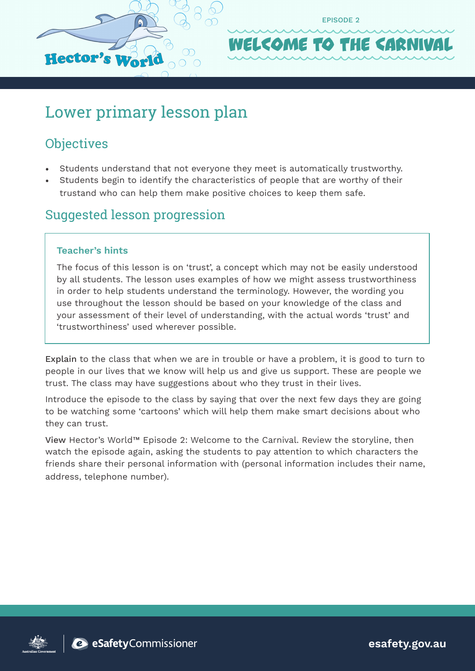

# Lower primary lesson plan

# **Objectives**

- Students understand that not everyone they meet is automatically trustworthy.
- Students begin to identify the characteristics of people that are worthy of their trustand who can help them make positive choices to keep them safe.

### Suggested lesson progression

#### **Teacher's hints**

The focus of this lesson is on 'trust', a concept which may not be easily understood by all students. The lesson uses examples of how we might assess trustworthiness in order to help students understand the terminology. However, the wording you use throughout the lesson should be based on your knowledge of the class and your assessment of their level of understanding, with the actual words 'trust' and 'trustworthiness' used wherever possible.

Explain to the class that when we are in trouble or have a problem, it is good to turn to people in our lives that we know will help us and give us support. These are people we trust. The class may have suggestions about who they trust in their lives.

Introduce the episode to the class by saying that over the next few days they are going to be watching some 'cartoons' which will help them make smart decisions about who they can trust.

View Hector's World™ Episode 2: Welcome to the Carnival. Review the storyline, then watch the episode again, asking the students to pay attention to which characters the friends share their personal information with (personal information includes their name, address, telephone number).



**esafety.gov.au**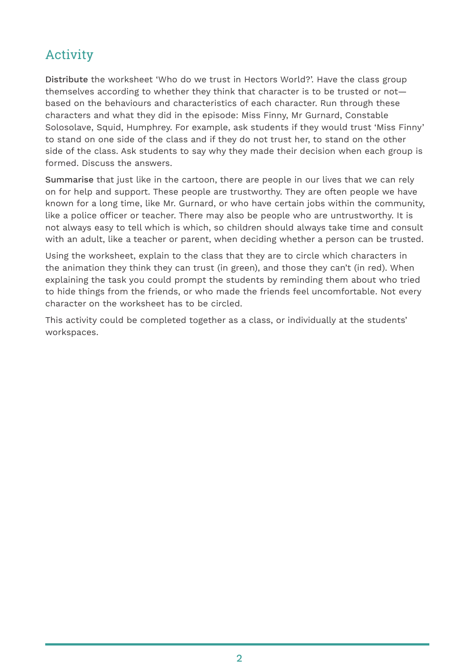# Activity

Distribute the worksheet 'Who do we trust in Hectors World?'. Have the class group themselves according to whether they think that character is to be trusted or not based on the behaviours and characteristics of each character. Run through these characters and what they did in the episode: Miss Finny, Mr Gurnard, Constable Solosolave, Squid, Humphrey. For example, ask students if they would trust 'Miss Finny' to stand on one side of the class and if they do not trust her, to stand on the other side of the class. Ask students to say why they made their decision when each group is formed. Discuss the answers.

Summarise that just like in the cartoon, there are people in our lives that we can rely on for help and support. These people are trustworthy. They are often people we have known for a long time, like Mr. Gurnard, or who have certain jobs within the community, like a police officer or teacher. There may also be people who are untrustworthy. It is not always easy to tell which is which, so children should always take time and consult with an adult, like a teacher or parent, when deciding whether a person can be trusted.

Using the worksheet, explain to the class that they are to circle which characters in the animation they think they can trust (in green), and those they can't (in red). When explaining the task you could prompt the students by reminding them about who tried to hide things from the friends, or who made the friends feel uncomfortable. Not every character on the worksheet has to be circled.

This activity could be completed together as a class, or individually at the students' workspaces.